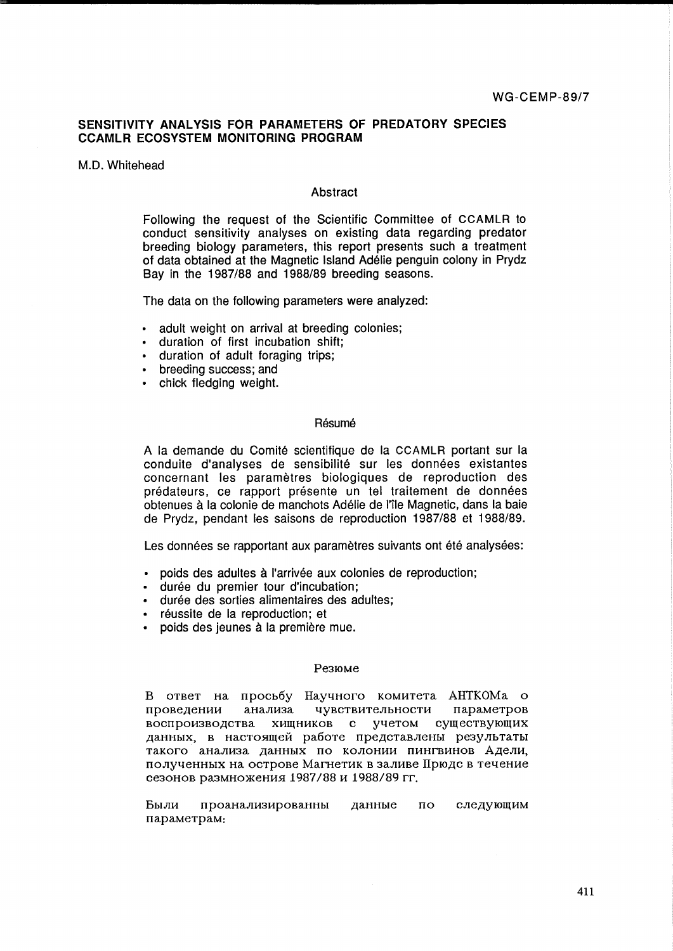# **SENSITIVITY ANALYSIS FOR PARAMETERS OF PREDATORY SPECIES CCAMLR ECOSYSTEM MONITORING PROGRAM**

### M.D. Whitehead

# Abstract

Following the request of the Scientific Committee of CCAMLR to conduct sensitivity analyses on existing data regarding predator breeding biology parameters, this report presents such a treatment of data obtained at the Magnetic Island Adelie penguin colony in Prydz Bay in the 1987/88 and 1988/89 breeding seasons.

The data on the following parameters were analyzed:

- adult weight on arrival at breeding colonies;
- duration of first incubation shift;
- duration of adult foraging trips;
- breeding success; and
- chick fledging weight.

### Résumé

A la demande du Comite scientifique de la CCAMLR portant sur la conduite d'analyses de sensibilité sur les données existantes concernant les parametres biologiques de reproduction des predateurs, ce rapport presente un tel traitement de donnees obtenues a la colonie de manchots Adelie de I'ile Magnetic, dans la baie de Prydz, pendant les saisons de reproduction 1987/88 et 1988/89.

Les données se rapportant aux paramètres suivants ont été analysées:

- poids des adultes à l'arrivée aux colonies de reproduction;
- durée du premier tour d'incubation;
- durée des sorties alimentaires des adultes;
- réussite de la reproduction; et
- poids des jeunes à la première mue.

#### Pe3IOMe

B OTBeT Ha npocb6y HayqHOrO KOMHTeTa AHTKOMa 0 проведении анализа чувствительности параметров воспроизводства хищников с учетом существующих данных, в настоящей работе представлены результаты такого анализа данных по колонии пингвинов Адели, полученных на острове Магнетик в заливе Прюдс в течение сезонов размножения 1987/88 и 1988/89 гг.

Были проанализированны данные  $\overline{u}$ следующим napaMeTpaM: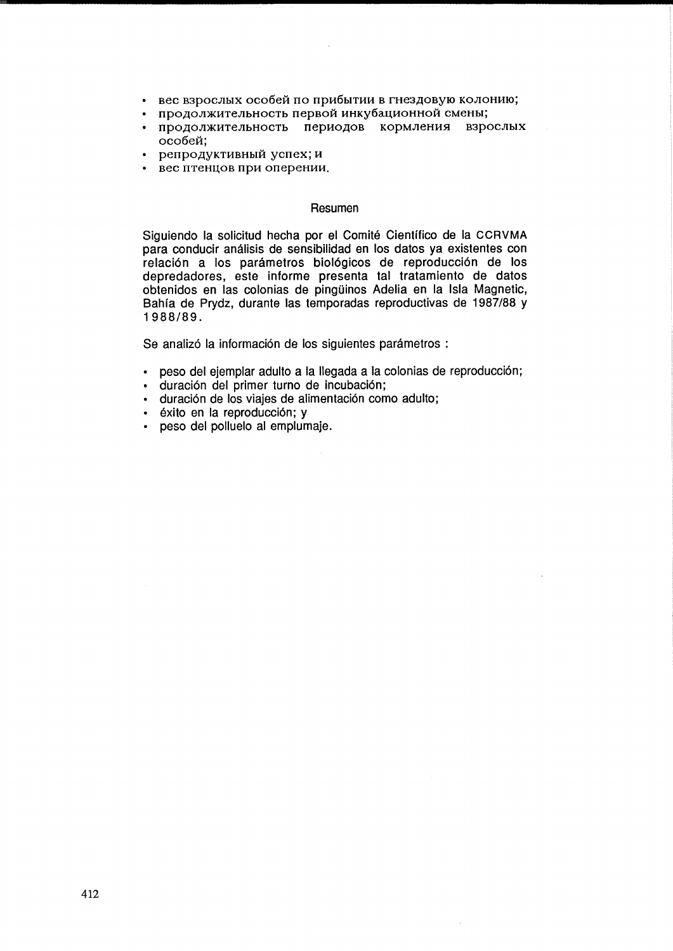- вес взрослых особей по прибытии в гнездовую колонию;
- продолжительность первой инкубационной смены;
- продолжительность периодов кормления взрослых особей;
- репродуктивный успех; и
- вес птенцов при оперении.

# Resumen

Siguiendo la solicitud hecha por el Comite Cientifico de la CCRVMA para conducir analisis de sensibilidad en los datos ya existentes con relación a los parámetros biológicos de reproducción de los depredadores, este informe presenta tal tratamiento de datos obtenidos en las colonias de pingüinos Adelia en la Isla Magnetic, Bahfa de Prydz, durante las temporadas reproductivas de 1987/88 y 1988/89.

Se analizó la información de los siguientes parámetros :

- peso del ejemplar adulto a la lIegada a la colonias de reproducci6n;
- duración del primer turno de incubación;
- duraci6n de los viajes de alimentaci6n como adulto;
- éxito en la reproducción; y
- peso del polluelo al emplumaje.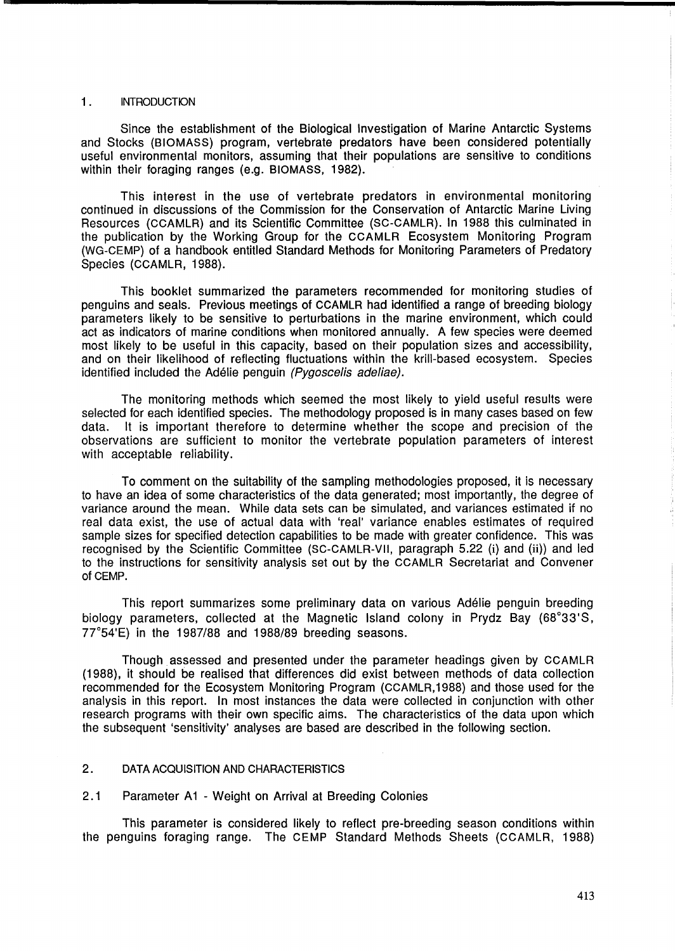# 1 . INTRODUCTION

Since the establishment of the Biological Investigation of Marine Antarctic Systems and Stocks (BIOMASS) program, vertebrate predators have been considered potentially useful environmental monitors, assuming that their populations are sensitive to conditions within their foraging ranges (e.g. BIOMASS, 1982).

This interest in the use of vertebrate predators in environmental monitoring continued in discussions of the Commission for the Conservation of Antarctic Marine Living Resources (CCAMLR) and its Scientific Committee (SC-CAMLR). In 1988 this culminated in the publication by the Working Group for the CCAMLR Ecosystem Monitoring Program (WG-CEMP) of a handbook entitled Standard Methods for Monitoring Parameters of Predatory Species (CCAMLR, 1988).

This booklet summarized the parameters recommended for monitoring studies of penguins and seals. Previous meetings of CCAMLR had identified a range of breeding biology parameters likely to be sensitive to perturbations in the marine environment, which could act as indicators of marine conditions when monitored annually. A few species were deemed most likely to be useful in this capacity, based on their population sizes and accessibility, and on their likelihood of reflecting fluctuations within the krill-based ecosystem. Species identified included the Adélie penguin (Pygoscelis adeliae).

The monitoring methods which seemed the most likely to yield useful results were selected for each identified species. The methodology proposed is in many cases based on few data. It is important therefore to determine whether the scope and precision of the observations are sufficient to monitor the vertebrate population parameters of interest with acceptable reliability.

To comment on the suitability of the sampling methodologies proposed, it is necessary to have an idea of some characteristics of the data generated; most importantly, the degree of variance around the mean. While data sets can be simulated, and variances estimated if no real data exist, the use of actual data with 'real' variance enables estimates of required sample sizes for specified detection capabilities to be made with greater confidence. This was recognised by the Scientific Committee (SC-CAMLR-VII, paragraph 5.22 (i) and (ii)) and led to the instructions for sensitivity analysis set out by the CCAMLR Secretariat and Convener of CEMP.

This report summarizes some preliminary data on various Adelie penguin breeding biology parameters, collected at the Magnetic Island colony in Prydz Bay (68°33'S, 77°54'E) in the 1987/88 and 1988/89 breeding seasons.

Though assessed and presented under the parameter headings given by CCAMLR (1988), it should be realised that differences did exist between methods of data collection recommended for the Ecosystem Monitoring Program (CCAMLR,1988) and those used for the analysis in this report. In most instances the data were collected in conjunction with other research programs with their own specific aims. The characteristics of the data upon which the subsequent 'sensitivity' analyses are based are described in the following section.

# 2. DATA ACQUISITION AND CHARACTERISTICS

# 2.1 Parameter A1 - Weight on Arrival at Breeding Colonies

This parameter is considered likely to reflect pre-breeding season conditions within the penguins foraging range. The CEMP Standard Methods Sheets (CCAMLR, 1988)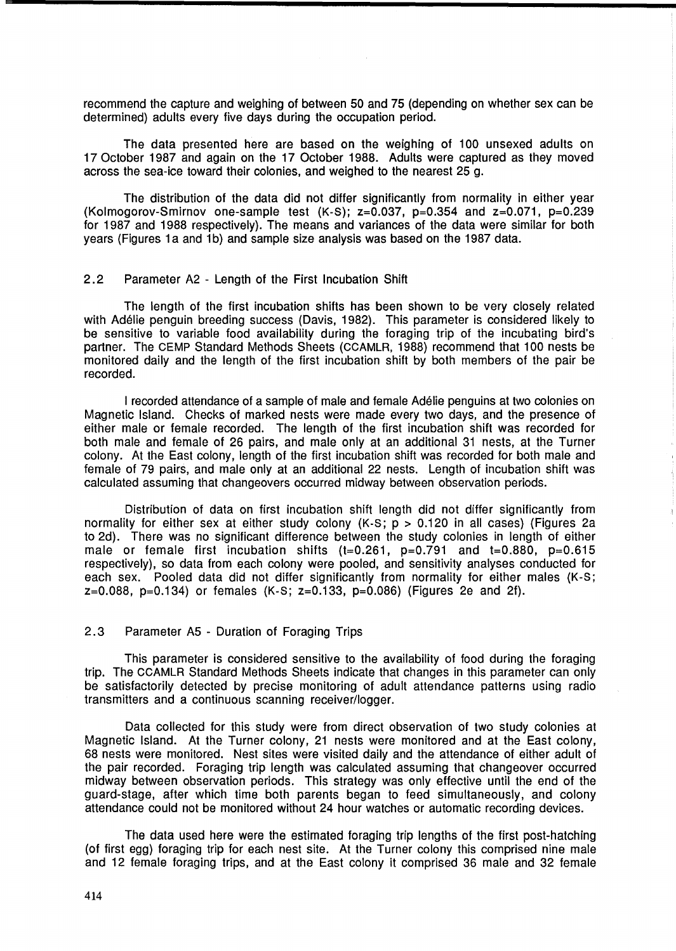recommend the capture and weighing of between 50 and 75 (depending on whether sex can be determined) adults every five days during the occupation period.

The data presented here are based on the weighing of 100 unsexed adults on 17 October 1987 and again on the 17 October 1988. Adults were captured as they moved across the sea-ice toward their colonies, and weighed to the nearest 25 g.

The distribution of the data did not differ significantly from normality in either year (Kolmogorov-Smirnov one-sample test  $(K-S)$ ;  $z=0.037$ ,  $p=0.354$  and  $z=0.071$ ,  $p=0.239$ for 1987 and 1988 respectively). The means and variances of the data were similar for both years (Figures 1a and 1b) and sample size analysis was based on the 1987 data.

# 2.2 Parameter A2 - Length of the First Incubation Shift

The length of the first incubation shifts has been shown to be very closely related with Adelie penguin breeding success (Davis, 1982). This parameter is considered likely to be sensitive to variable food availability during the foraging trip of the incubating bird's partner. The CEMP Standard Methods Sheets (CCAMLR, 1988) recommend that 100 nests be monitored daily and the length of the first incubation shift by both members of the pair be recorded.

I recorded attendance of a sample of male and female Adelie penguins at two colonies on Magnetic Island. Checks of marked nests were made every two days, and the presence of either male or female recorded. The length of the first incubation shift was recorded for both male and female of 26 pairs, and male only at an additional 31 nests, at the Turner colony. At the East colony, length of the first incubation shift was recorded for both male and female of 79 pairs, and male only at an additional 22 nests. Length of incubation shift was calculated assuming that changeovers occurred midway between observation periods.

Distribution of data on first incubation shift length did not differ significantly from normality for either sex at either study colony  $(K-S; p > 0.120$  in all cases) (Figures 2a to 2d). There was no significant difference between the study colonies in length of either male or female first incubation shifts  $(t=0.261, p=0.791$  and  $t=0.880, p=0.615$ respectively), so data from each colony were pooled, and sensitivity analyses conducted for each sex. Pooled data did not differ significantly from normality for either males (K-S;  $z=0.088$ ,  $p=0.134$ ) or females (K-S;  $z=0.133$ ,  $p=0.086$ ) (Figures 2e and 2f).

# 2.3 Parameter AS - Duration of Foraging Trips

This parameter is considered sensitive to the availability of food during the foraging trip. The CCAMLR Standard Methods Sheets indicate that changes in this parameter can only be satisfactorily detected by precise monitoring of adult attendance patterns using radio transmitters and a continuous scanning receiver/logger.

Data collected for this study were from direct observation of two study colonies at Magnetic Island. At the Turner colony, 21 nests were monitored and at the East colony, 68 nests were monitored. Nest sites were visited daily and the attendance of either adult of the pair recorded. Foraging trip length was calculated assuming that changeover occurred midway between observation periods. This strategy was only effective until the end of the guard-stage, after which time both parents began to feed simultaneously, and colony attendance could not be monitored without 24 hour watches or automatic recording devices.

The data used here were the estimated foraging trip lengths of the first post-hatching (of first egg) foraging trip for each nest site. At the Turner colony this comprised nine male and 12 female foraging trips, and at the East colony it comprised 36 male and 32 female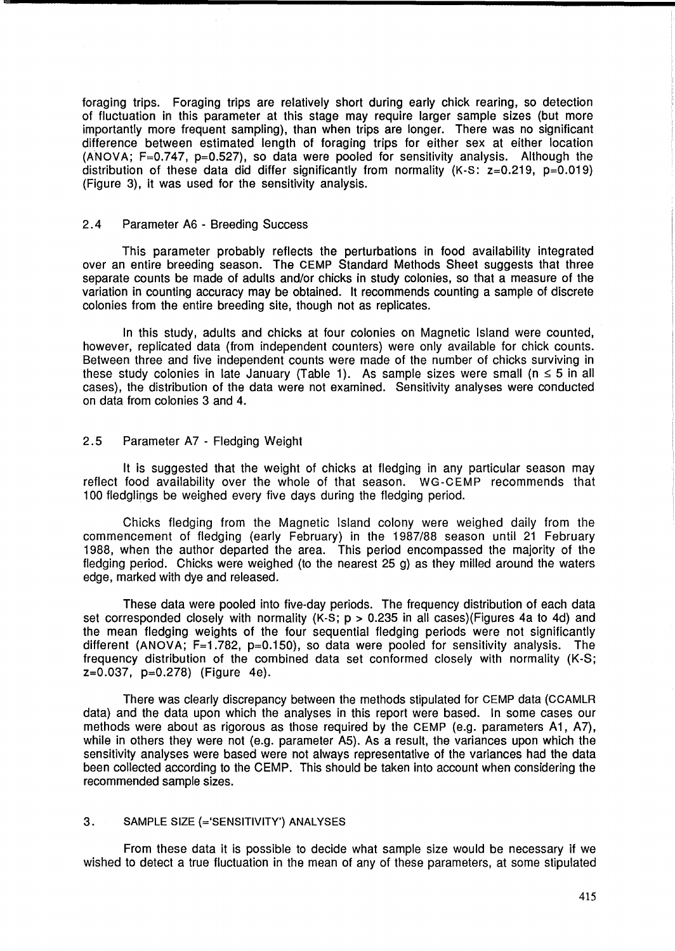foraging trips. Foraging trips are relatively short during early chick rearing, so detection of fluctuation in this parameter at this stage may require larger sample sizes (but more importantly more frequent sampling), than when trips are longer. There was no significant difference between estimated length of foraging trips for either sex at either location (ANOVA; F=0.747, p=0.527), so data were pooled for sensitivity analysis. Although the distribution of these data did differ significantly from normality  $(K-S: z=0.219, p=0.019)$ (Figure 3), it was used for the sensitivity analysis.

# 2.4 Parameter A6 - Breeding Success

This parameter probably reflects the perturbations in food availability integrated over an entire breeding season. The CEMP Standard Methods Sheet suggests that three separate counts be made of adults and/or chicks in study colonies, so that a measure of the variation in counting accuracy may be obtained. It recommends counting a sample of discrete colonies from the entire breeding site, though not as replicates.

In this study, adults and chicks at four colonies on Magnetic Island were counted, however, replicated data (from independent counters) were only available for chick counts. Between three and five independent counts were made of the number of chicks surviving in these study colonies in late January (Table 1). As sample sizes were small ( $n \leq 5$  in all cases), the distribution of the data were not examined. Sensitivity analyses were conducted on data from colonies 3 and 4.

# 2.5 Parameter A7 - Fledging Weight

It is suggested that the weight of chicks at fledging in any particular season may reflect food availability over the whole of that season. WG-CEMP recommends that 100 fledglings be weighed every five days during the fledging period.

Chicks fledging from the Magnetic Island colony were weighed daily from the commencement of fledging (early February) in the 1987/88 season until 21 February 1988, when the author departed the area. This period encompassed the majority of the fledging period. Chicks were weighed (to the nearest 25 g) as they milled around the waters edge, marked with dye and released.

These data were pooled into five-day periods. The frequency distribution of each data set corresponded closely with normality  $(K-S; p > 0.235$  in all cases)(Figures 4a to 4d) and the mean fledging weights of the four sequential fledging periods were not significantly different (ANOVA;  $F=1.782$ ,  $p=0.150$ ), so data were pooled for sensitivity analysis. The frequency distribution of the combined data set conformed closely with normality (K-S; z=0.037, p=0.278) (Figure 4e).

There was clearly discrepancy between the methods stipulated for CEMP data (CCAMLR data) and the data upon which the analyses in this report were based. In some cases our methods were about as rigorous as those required by the CEMP (e.g. parameters A1, A7), while in others they were not (e.g. parameter A5). As a result, the variances upon which the sensitivity analyses were based were not always representative of the variances had the data been collected according to the CEMP. This should be taken into account when considering the recommended sample sizes.

# 3. SAMPLE SIZE (='SENSITIVITY') ANALYSES

From these data it is possible to decide what sample size would be necessary if we wished to detect a true fluctuation in the mean of any of these parameters, at some stipulated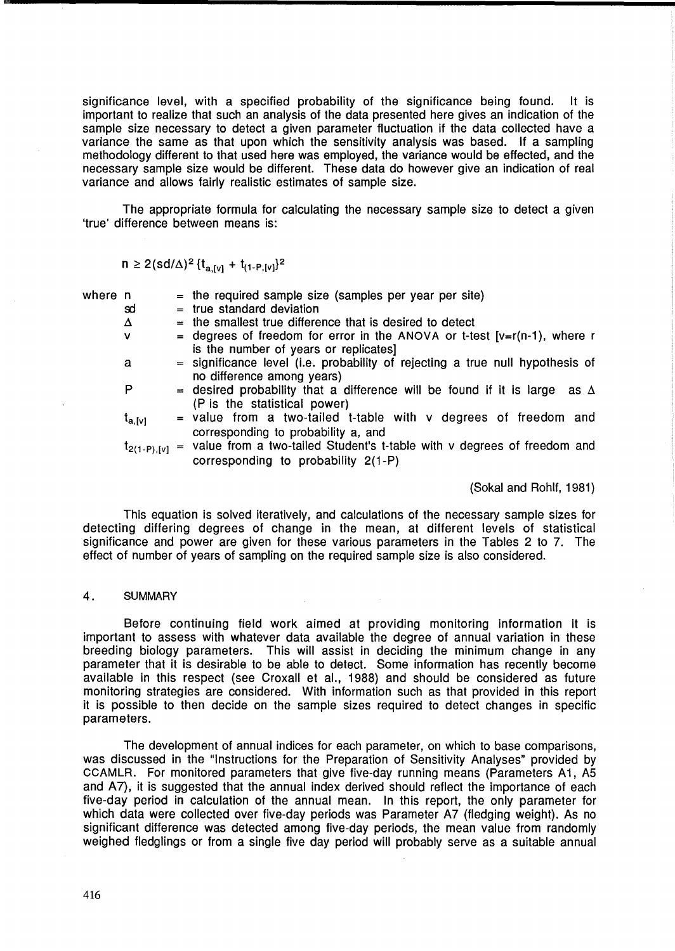significance level, with a specified probability of the significance being found. It is important to realize that such an analysis of the data presented here gives an indication of the sample size necessary to detect a given parameter fluctuation if the data collected have a variance the same as that upon which the sensitivity analysis was based. If a sampling methodology different to that used here was employed, the variance would be effected, and the necessary sample size would be different. These data do however give an indication of real variance and allows fairly realistic estimates of sample size.

The appropriate formula for calculating the necessary sample size to detect a given 'true' difference between means is:

$$
n \ge 2 (sd/\Delta)^2 \{ t_{a,[v]} + t_{(1-P,[v]} \}^2
$$

- where  $n =$  the required sample size (samples per year per site)
	- $\mathbf{S}$   $\mathbf{S}$  = true standard deviation
	- $\Delta$  = the smallest true difference that is desired to detect
	- $v =$  degrees of freedom for error in the ANOVA or t-test  $[v=r(n-1)]$ , where r is the number of years or replicates]
	- $a =$  significance level (i.e. probability of rejecting a true null hypothesis of no difference among years)
	- P  $=$  desired probability that a difference will be found if it is large as  $\Delta$ (P is the statistical power)
	- $t_{a,[v]}$  = value from a two-tailed t-table with v degrees of freedom and corresponding to probability a, and
	- $t_{2(1-P),[v]}$  = value from a two-tailed Student's t-table with v degrees of freedom and corresponding to probability 2(1-P)

(Sokal and Rohlf, 1981)

This equation is solved iteratively, and calculations of the necessary sample sizes for detecting differing degrees of change in the mean, at different levels of statistical significance and power are given for these various parameters in the Tables 2 to 7. The effect of number of years of sampling on the required sample size is also considered.

### 4. SUMMARY

Before continuing field work aimed at providing monitoring information it is important to assess with whatever data available the degree of annual variation in these breeding biology parameters. This will assist in deciding the minimum change in any parameter that it is desirable to be able to detect. Some information has recently become available in this respect (see Croxall et al., 1988) and should be considered as future monitoring strategies are considered. With information such as that provided in this report it is possible to then decide on the sample sizes required to detect changes in specific parameters.

The development of annual indices for each parameter, on which to base comparisons, was discussed in the "Instructions for the Preparation of Sensitivity Analyses" provided by CCAMLR. For monitored parameters that give five-day running means (Parameters A1, A5 and A7), it is suggested that the annual index derived should reflect the importance of each five-day period in calculation of the annual mean. In this report, the only parameter for which data were collected over five-day periods was Parameter A7 (fledging weight). As no significant difference was detected among five-day periods, the mean value from randomly weighed fledglings or from a single five day period will probably serve as a suitable annual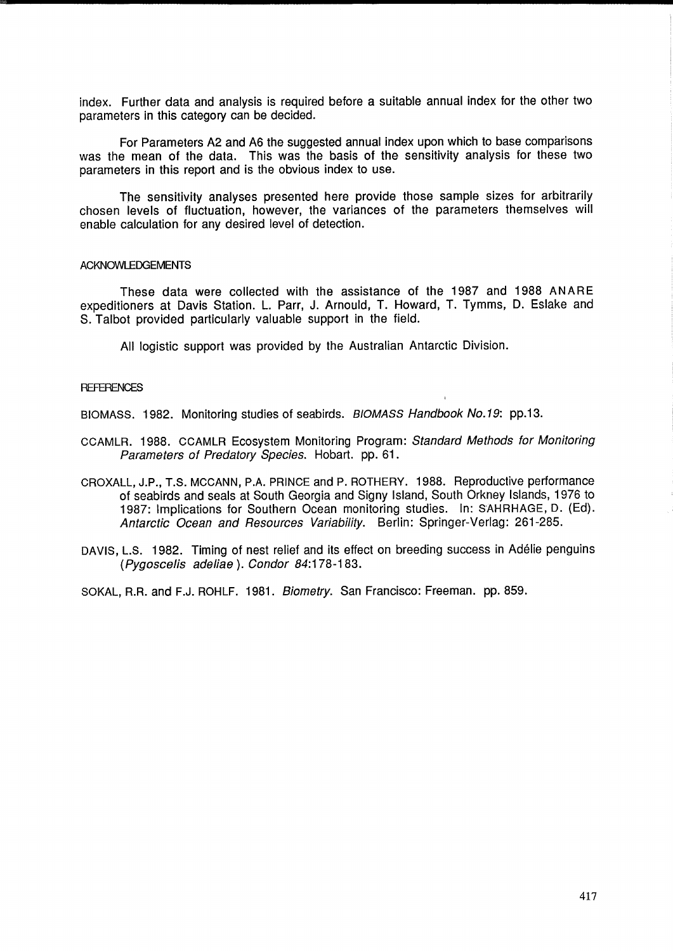index. Further data and analysis is required before a suitable annual index for the other two parameters in this category can be decided.

For Parameters A2 and A6 the suggested annual index upon which to base comparisons was the mean of the data. This was the basis of the sensitivity analysis for these two parameters in this report and is the obvious index to use.

The sensitivity analyses presented here provide those sample sizes for arbitrarily chosen levels of fluctuation, however, the variances of the parameters themselves will enable calculation for any desired level of detection.

## ACKNOWLEDGEMENTS

These data were collected with the assistance of the 1987 and 1988 ANARE expeditioners at Davis Station. L. Parr, J. Arnould, T. Howard, T. Tymms, D. Eslake and S. Talbot provided particularly valuable support in the field.

All logistic support was provided by the Australian Antarctic Division.

#### **REFERENCES**

BIOMASS. 1982. Monitoring studies of seabirds. BIOMASS Handbook No. 19: pp.13.

- CCAMLR. 1988. CCAMLR Ecosystem Monitoring Program: Standard Methods for Monitoring Parameters of Predatory Species. Hobart. pp. 61.
- CROXALL, J.P., T.S. MCCANN, P.A. PRINCE and P. ROTHERY. 1988. Reproductive performance of seabirds and seals at South Georgia and Signy Island, South Orkney Islands, 1976 to 1987: Implications for Southern Ocean monitoring studies. In: SAHRHAGE, D. (Ed). Antarctic Ocean and Resources Variability. Berlin: Springer-Verlag: 261-285.
- DAYIS, L.S. 1982. Timing of nest relief and its effect on breeding success in Adelie penguins (pygoscelis ade/iae). Condor 84:178-183.

SOKAL, R.R. and F.J. ROHLF. 1981. Biometry. San Francisco: Freeman. pp. 859.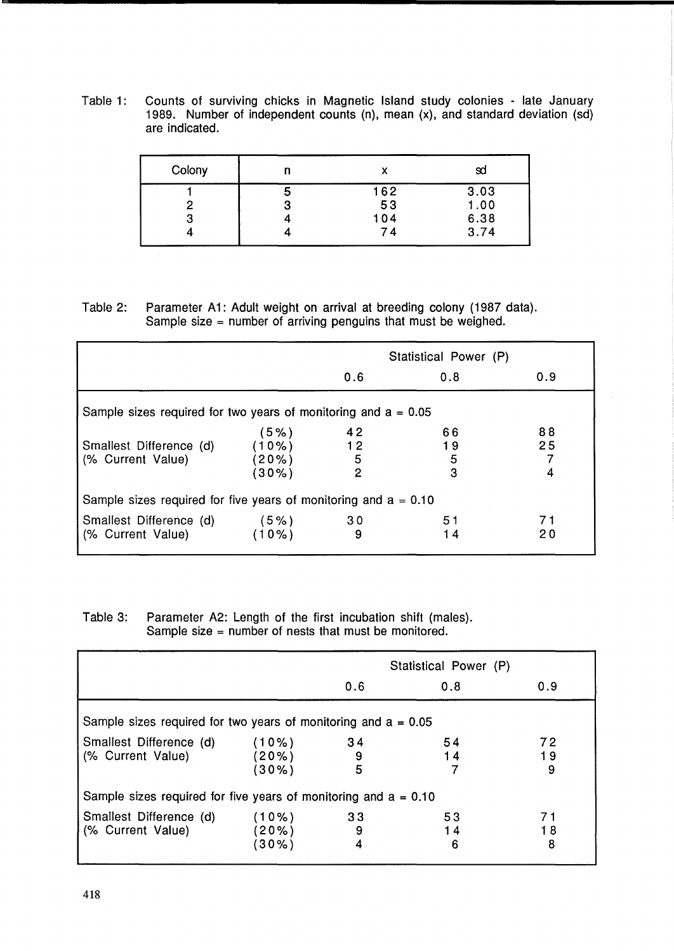Table 1: Counts of surviving chicks in Magnetic Island study colonies - late January 1989. Number of independent counts (n), mean (x), and standard deviation (sd) are indicated.

| Colony | n      |           | sd           |
|--------|--------|-----------|--------------|
|        | э<br>3 | 162<br>53 | 3.03<br>1.00 |
| 3      |        | 104<br>74 | 6.38<br>3.74 |

Table 2: Parameter A1: Adult weight on arrival at breeding colony (1987 data). Sample size = number of arriving penguins that must be weighed.

|                                                                   |                                       | Statistical Power (P) |                    |          |
|-------------------------------------------------------------------|---------------------------------------|-----------------------|--------------------|----------|
|                                                                   |                                       | 0.6                   | 0.8                | 0.9      |
| Sample sizes required for two years of monitoring and $a = 0.05$  |                                       |                       |                    |          |
| Smallest Difference (d)<br>(% Current Value)                      | $5\%$ )<br>(10%)<br>(20%)<br>$(30\%)$ | 42<br>12<br>5<br>2    | 66<br>19<br>5<br>3 | 88<br>25 |
| Sample sizes required for five years of monitoring and $a = 0.10$ |                                       |                       |                    |          |
| Smallest Difference (d)<br>(% Current Value)                      | (5%)<br>$(10\%)$                      | 30<br>9               | 51<br>14           | 71<br>20 |

Table 3: Parameter A2: Length of the first incubation shift (males). Sample size = number of nests that must be monitored.

|                                                                   |                 | Statistical Power (P) |          |          |
|-------------------------------------------------------------------|-----------------|-----------------------|----------|----------|
|                                                                   |                 | 0.6                   | 0.8      | 0.9      |
| Sample sizes required for two years of monitoring and $a = 0.05$  |                 |                       |          |          |
| Smallest Difference (d)<br>(% Current Value)                      | (10%)<br>$20\%$ | 34<br>9               | 54<br>14 | 72<br>19 |
|                                                                   | $(30\%)$        | 5                     |          | 9        |
| Sample sizes required for five years of monitoring and $a = 0.10$ |                 |                       |          |          |
| Smallest Difference (d)                                           | (10%)           | 33                    | 53       | 71       |
| (% Current Value)                                                 | 20%             | 9                     | 14       | 18       |
|                                                                   | 30%             | 4                     | 6        | 8        |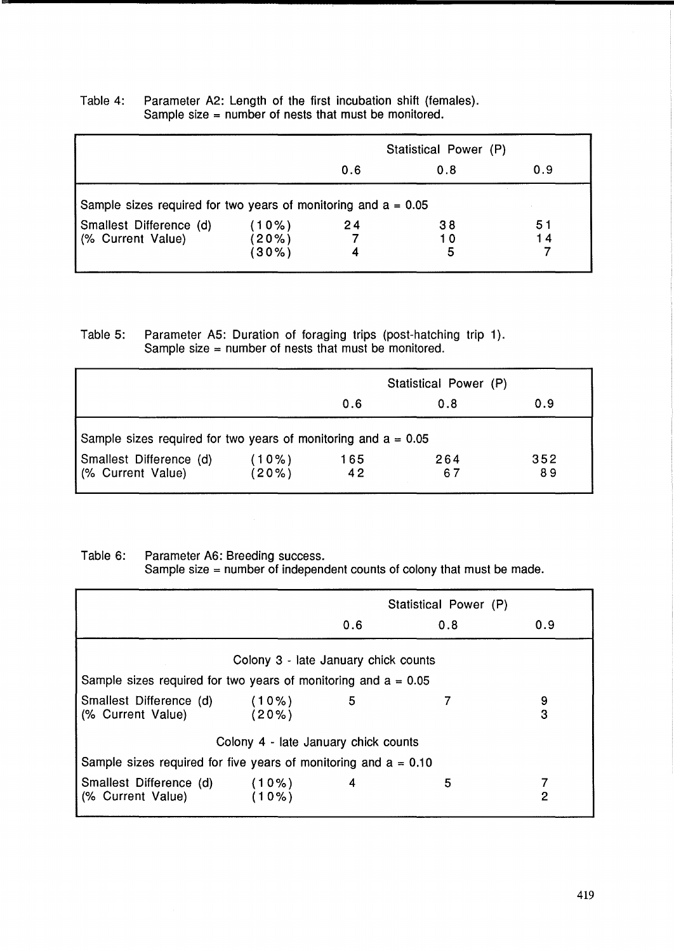|                                                                  |               | Statistical Power (P) |         |    |  |
|------------------------------------------------------------------|---------------|-----------------------|---------|----|--|
|                                                                  |               | 0.9<br>0.6<br>0.8     |         |    |  |
| Sample sizes required for two years of monitoring and $a = 0.05$ |               |                       |         |    |  |
| Smallest Difference (d)                                          | (10%)         | 24                    | 38      | 51 |  |
| (% Current Value)                                                | (20%)<br>(30% | 4                     | 10<br>5 | 14 |  |

# Table 4: Parameter A2: Length of the first incubation shift (females). Sample size = number of nests that must be monitored.

Table 5: Parameter AS: Duration of foraging trips (post-hatching trip 1). Sample size  $=$  number of nests that must be monitored.

|                                                                  |          | Statistical Power (P) |     |     |  |
|------------------------------------------------------------------|----------|-----------------------|-----|-----|--|
|                                                                  |          | 0.6<br>0.9<br>0.8     |     |     |  |
| Sample sizes required for two years of monitoring and $a = 0.05$ |          |                       |     |     |  |
| Smallest Difference (d)                                          | (10%)    | 165                   | 264 | 352 |  |
| (% Current Value)                                                | $(20\%)$ | 42                    | 67  | 89  |  |

Table 6: Parameter A6: Breeding success.

Sample size = number of independent counts of colony that must be made.

|                                                                   | Statistical Power (P)                |     |     |        |  |  |
|-------------------------------------------------------------------|--------------------------------------|-----|-----|--------|--|--|
|                                                                   |                                      | 0.6 | 0.8 | 0.9    |  |  |
| Sample sizes required for two years of monitoring and $a = 0.05$  | Colony 3 - late January chick counts |     |     |        |  |  |
| Smallest Difference (d) (10%)<br>(% Current Value)                | (20%)                                | 5   |     | 9<br>3 |  |  |
| Colony 4 - late January chick counts                              |                                      |     |     |        |  |  |
| Sample sizes required for five years of monitoring and $a = 0.10$ |                                      |     |     |        |  |  |
| Smallest Difference (d) (10%)<br>(% Current Value)                | $(10\%)$                             | 4   | 5   | 2      |  |  |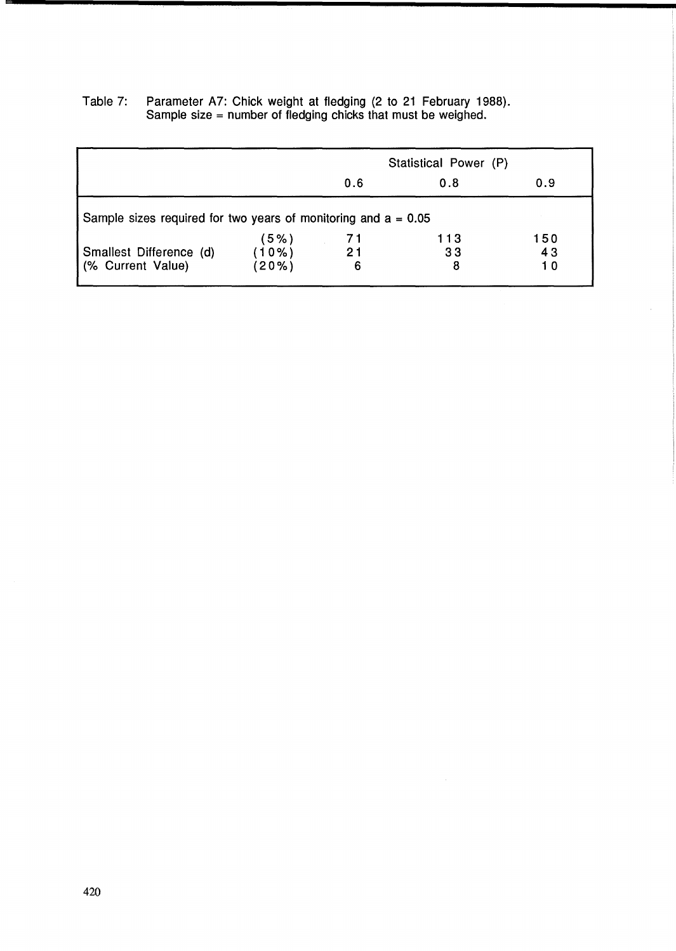|                                                                  |                | Statistical Power (P) |         |          |
|------------------------------------------------------------------|----------------|-----------------------|---------|----------|
|                                                                  |                | 0.6                   | 0.8     | 0.9      |
| Sample sizes required for two years of monitoring and $a = 0.05$ |                |                       |         |          |
|                                                                  | (5%)           | 71                    | 113     | 150      |
| Smallest Difference (d)<br>(% Current Value)                     | (10%)<br>(20%) | 21<br>6               | 33<br>8 | 43<br>10 |

 $\mathcal{A}$ 

Table 7: Parameter A7: Chick weight at fledging (2 to 21 February 1988). Sample size = number of fledging chicks that must be weighed.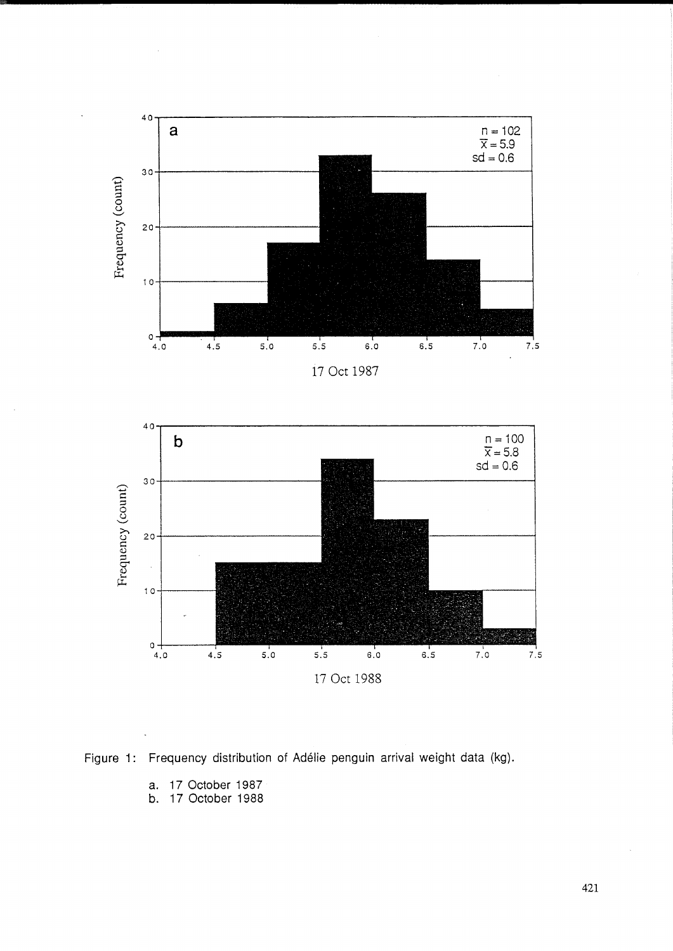



4.0 4.5 5.0 5.5 6.0 6.5 7.0 7.5 17 Oct 1988

a. 17 October 1987

10

 $0\downarrow$ <br>4.0 4.5

b. 17 October 1988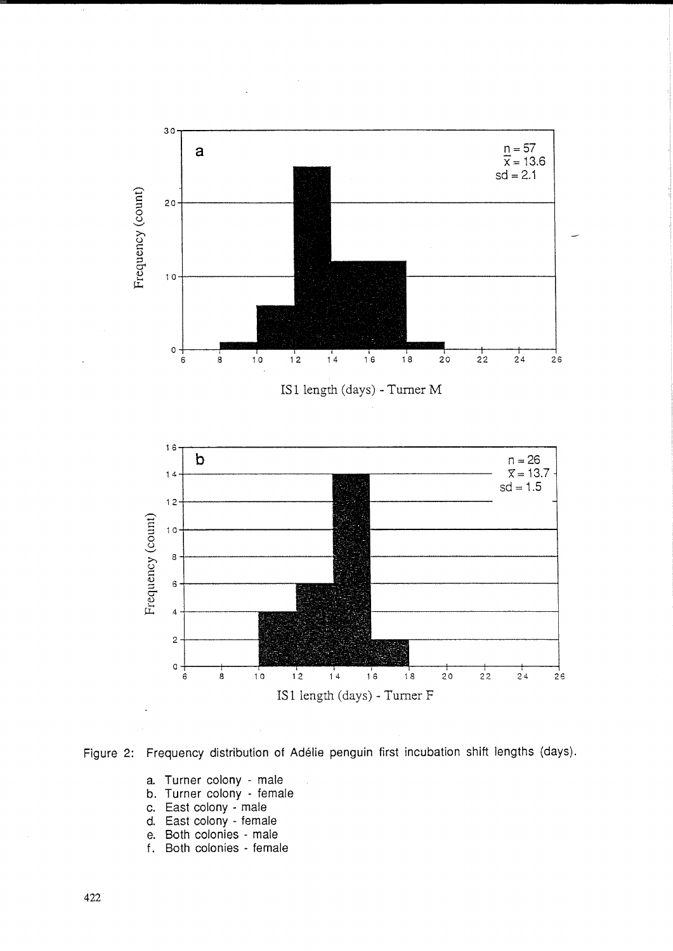



- a. Turner colony male
- b. Turner colony female
- c. East colony male
- d. East colony female
- e. Both colonies male
- f. Both colonies female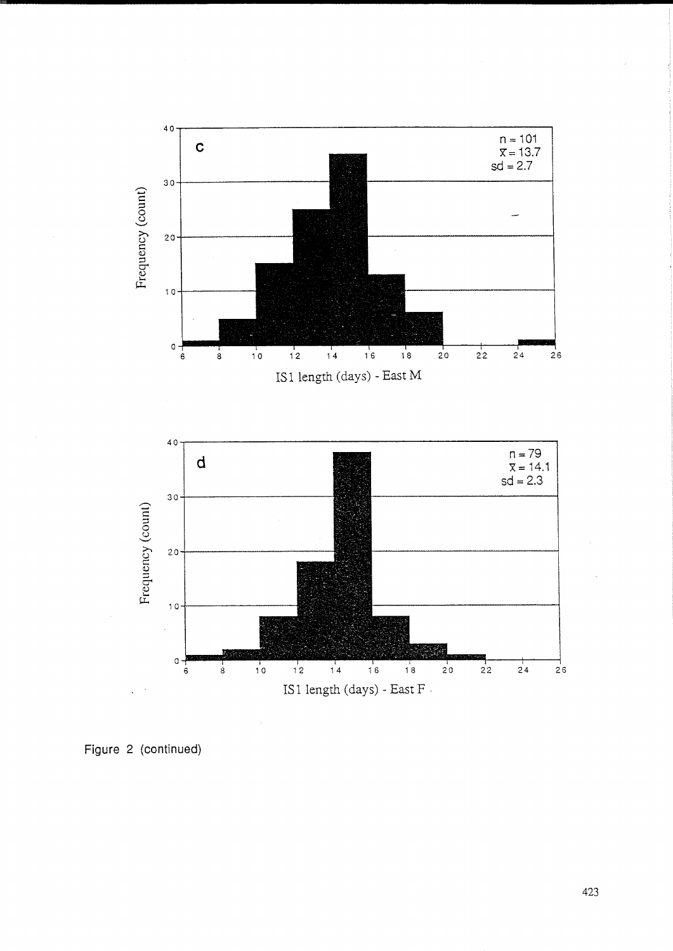

Figure 2 (continued)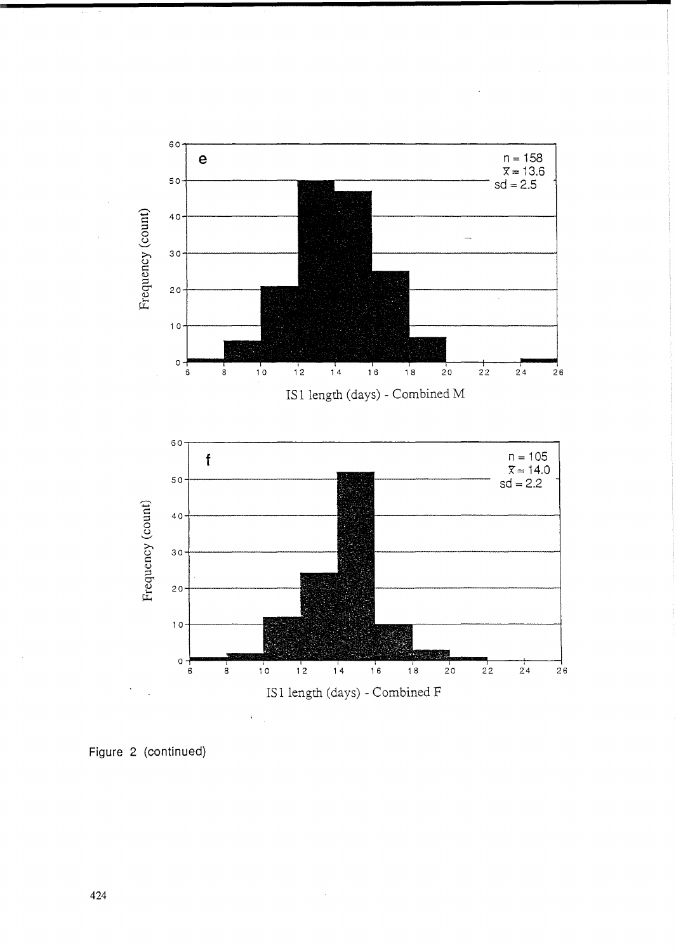

 $\bar{\phantom{a}}$ 

Figure 2 (continued)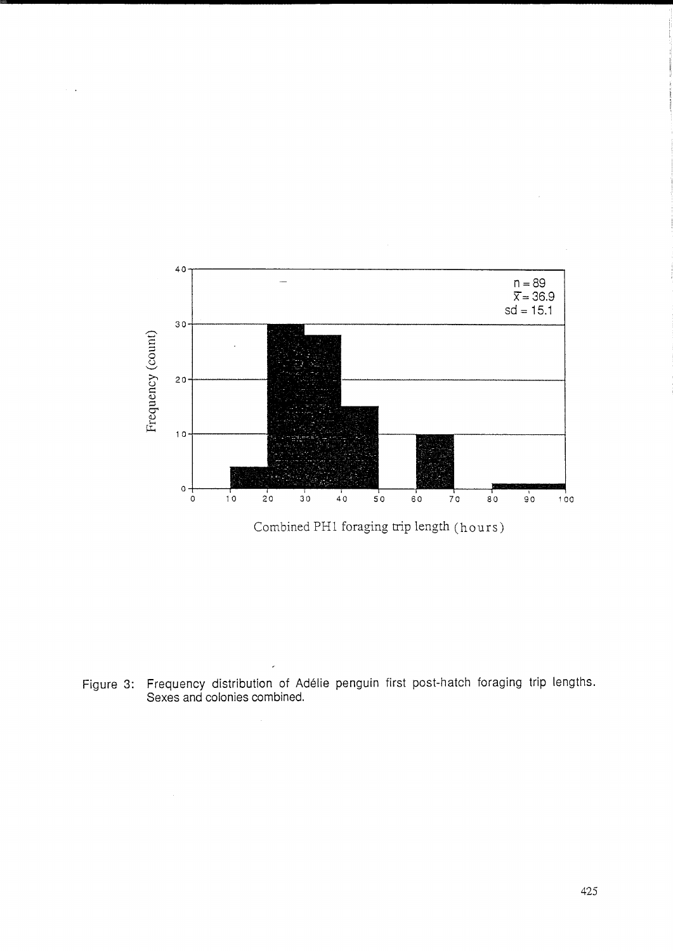

Combined PH1 foraging trip length (hours)

Figure 3: Frequency distribution of Adélie penguin first post-hatch foraging trip lengths.<br>Sexes and colonies combined.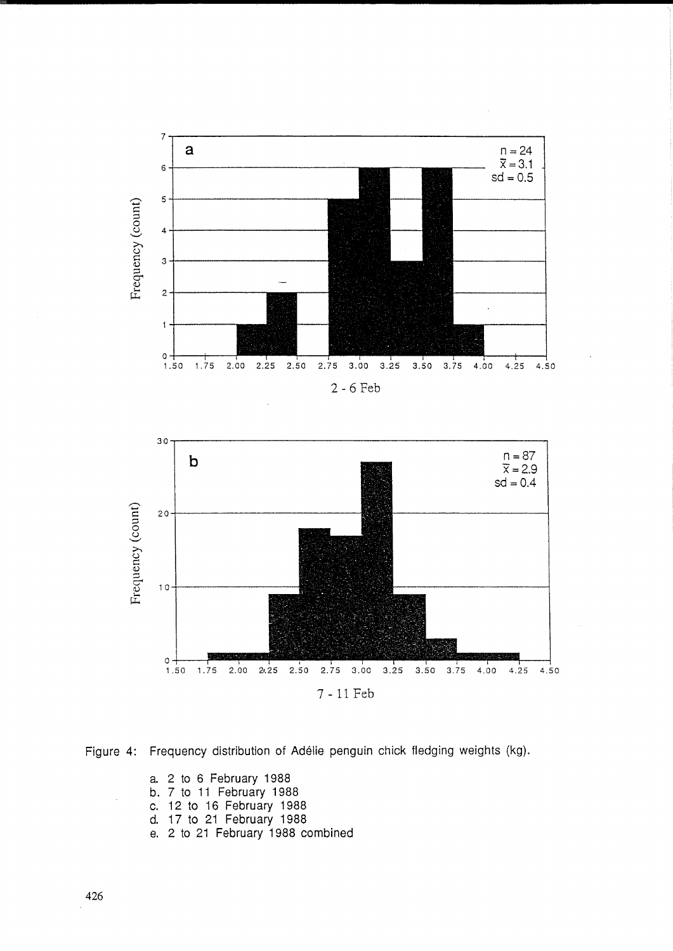



Figure 4: Frequency distribution of Adélie penguin chick fledging weights (kg).

a. 2 to 6 February 1988 b. 7 to 11 February 1988

- c. 12 to 16 February 1988
- 
- d. 17 to 21 February 1988<br>e. 2 to 21 February 1988 combined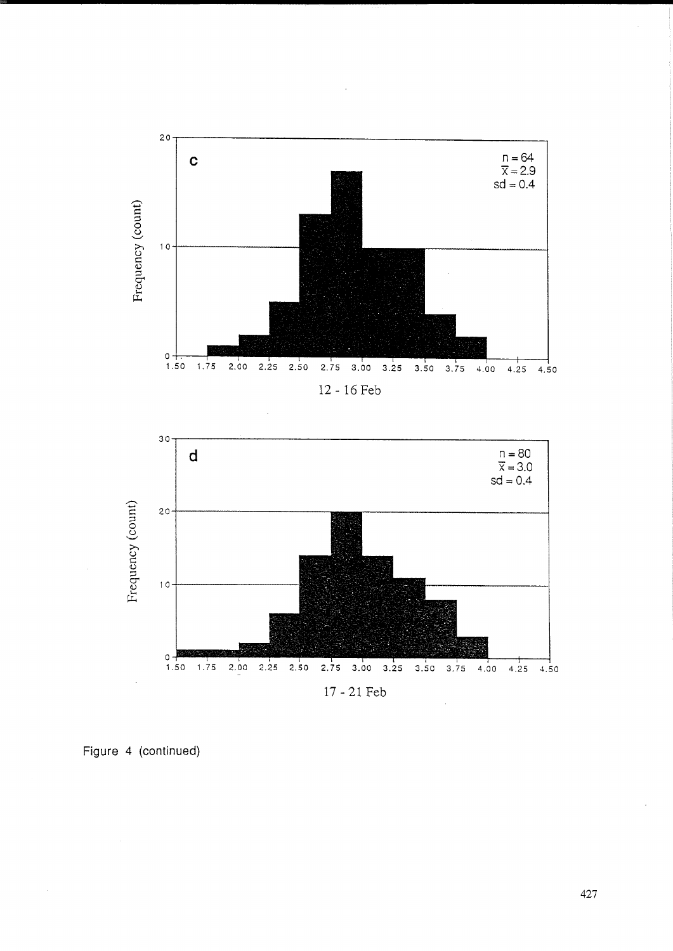



Figure 4 (continued)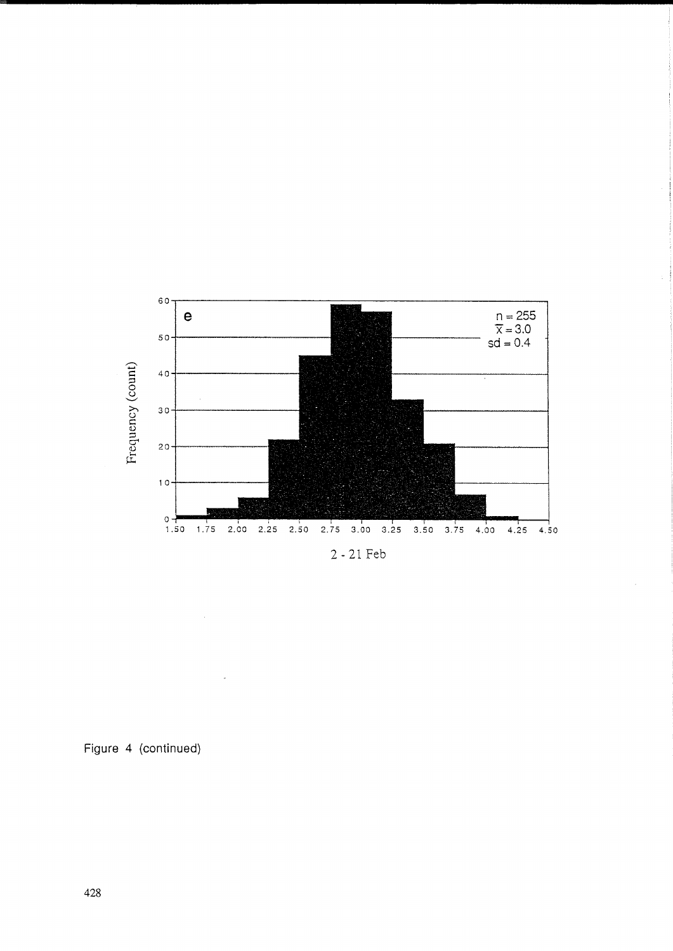

Figure 4 (continued)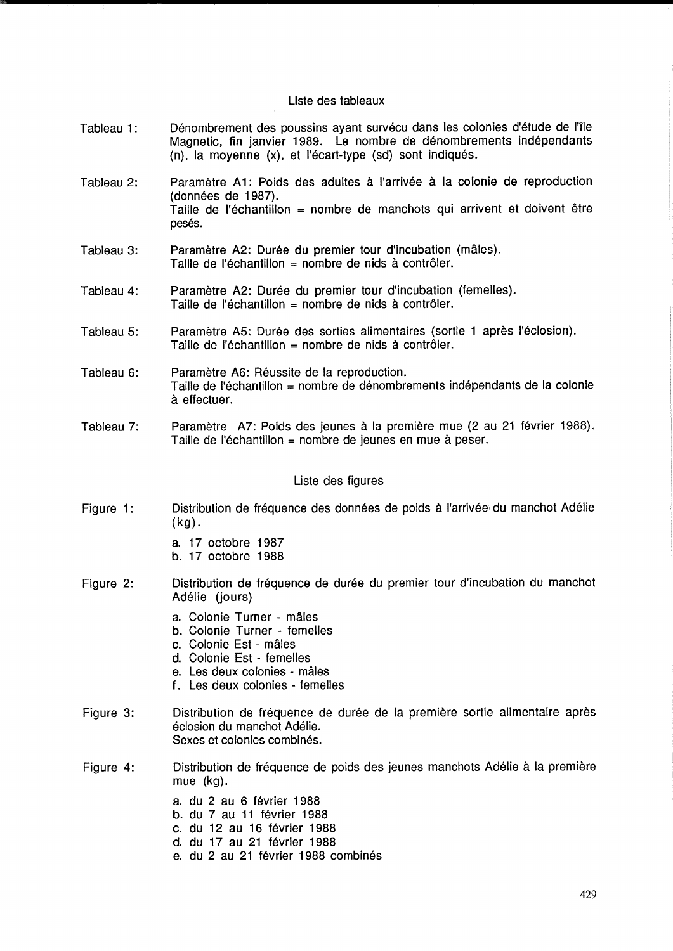### Liste des tableaux

- Tableau 1: Dénombrement des poussins ayant survécu dans les colonies d'étude de l'île Magnetic, fin janvier 1989. Le nombre de denombrements independants  $(n)$ , la moyenne  $(x)$ , et l'écart-type  $(sd)$  sont indiqués.
- Tableau 2: Paramètre A1: Poids des adultes à l'arrivée à la colonie de reproduction (données de 1987). Taille de l'échantillon = nombre de manchots qui arrivent et doivent être pesés.
- Tableau 3: Paramètre A2: Durée du premier tour d'incubation (mâles). Taille de l'échantillon = nombre de nids à contrôler.
- Tableau 4: Paramètre A2: Durée du premier tour d'incubation (femelles). Taille de l'échantillon = nombre de nids à contrôler.
- Tableau 5: Paramètre A5: Durée des sorties alimentaires (sortie 1 après l'éclosion). Taille de l'échantillon = nombre de nids à contrôler.
- Tableau 6: Paramètre A6: Réussite de la reproduction. Taille de I'echantillon = nombre de denombrements independants de la colonie a effectuer.
- Tableau 7: Paramètre A7: Poids des jeunes à la première mue (2 au 21 février 1988). Taille de l'échantillon = nombre de jeunes en mue à peser.

# Liste des figures

- Figure 1: Distribution de fréquence des données de poids à l'arrivée du manchot Adélie (kg) .
	- a. 17 octobre 1987
	- b. 17 octobre 1988
- Figure 2: Distribution de fréquence de durée du premier tour d'incubation du manchot Adélie (jours)
	- a. Colonie Turner males
	- b. Colonie Turner femelles
	- c. Colonie Est males
	- d. Colonie Est femelles
	- e. Les deux colonies males
	- f. Les deux colonies femelles
- Figure 3: Distribution de fréquence de durée de la première sortie alimentaire après éclosion du manchot Adélie. Sexes et colonies combinés.
- Figure 4: Distribution de frequence de poids des jeunes manchots Adelie a la premiere mue (kg).
	- a. du 2 au 6 fevrier 1988
	- b. du 7 au 11 fevrier 1988
	- c. du 12 au 16 fevrier 1988
	- d. du 17 au 21 février 1988
	- e. du 2 au 21 février 1988 combinés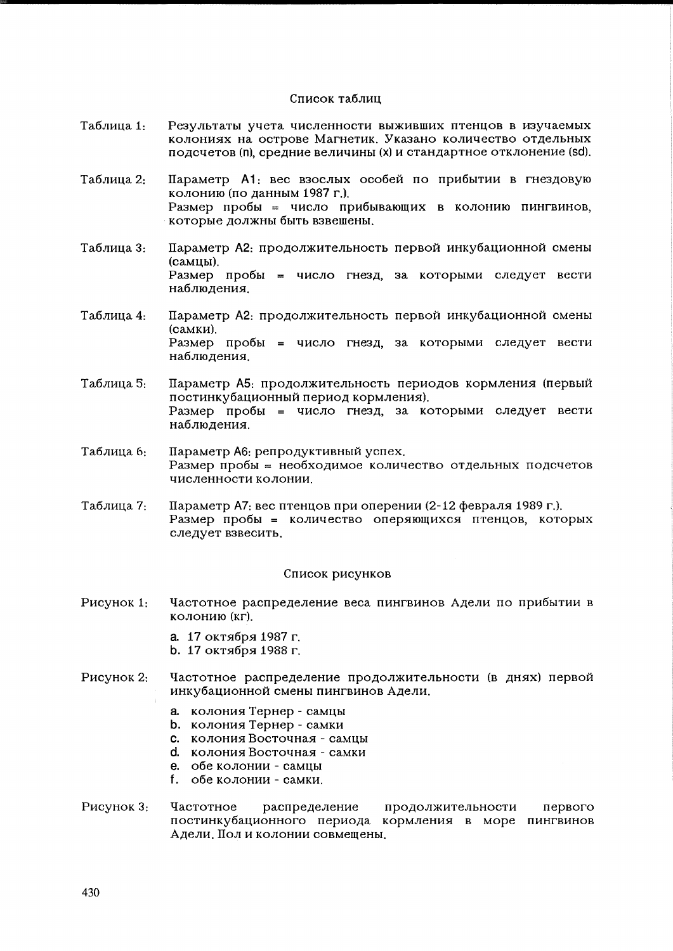### Список таблиц

- Результаты учета численности выживших птенцов в изучаемых Таблица 1: колониях на острове Магнетик. Указано количество отдельных подсчетов (n), средние величины (x) и стандартное отклонение (sd).
- Таблица 2: Параметр А1: вес взослых особей по прибытии в гнездовую колонию (по данным 1987 г.). Размер пробы = число прибывающих в колонию пингвинов, которые должны быть взвешены.
- Параметр А2: продолжительность первой инкубационной смены Таблица 3: (самцы). Размер пробы = число гнезд, за которыми следует вести наблюдения.
- Параметр А2: продолжительность первой инкубационной смены Таблица 4. (самки). Размер пробы = число гнезд, за которыми следует вести наблюдения.
- Таблица 5: Параметр А5: продолжительность периодов кормления (первый постинкубационный период кормления). Размер пробы = число гнезд, за которыми следует вести наблюдения.
- Таблица 6: Параметр А6: репродуктивный успех. Размер пробы = необходимое количество отдельных подсчетов численности колонии
- Параметр А7: вес птенцов при оперении (2-12 февраля 1989 г.). Таблица 7: Размер пробы = количество оперяющихся птенцов, которых следует взвесить.

### Список рисунков

- Рисунок 1: Частотное распределение веса пингвинов Адели по прибытии в колонию (кг).
	- а. 17 октября 1987 г.
	- b. 17 октября 1988 г.
- Частотное распределение продолжительности (в днях) первой Рисунок 2: инкубационной смены пингвинов Адели.
	- а. колония Тернер самцы
	- **b.** колония Тернер самки
	- с. колония Восточная самцы
	- d. колония Восточная самки
	- е. обе колонии самцы
	- f. обе колонии самки.
- Рисунок 3: Частотное распределение продолжительности первого постинкубационного периода кормления в море пингвинов Адели. Пол и колонии совмещены.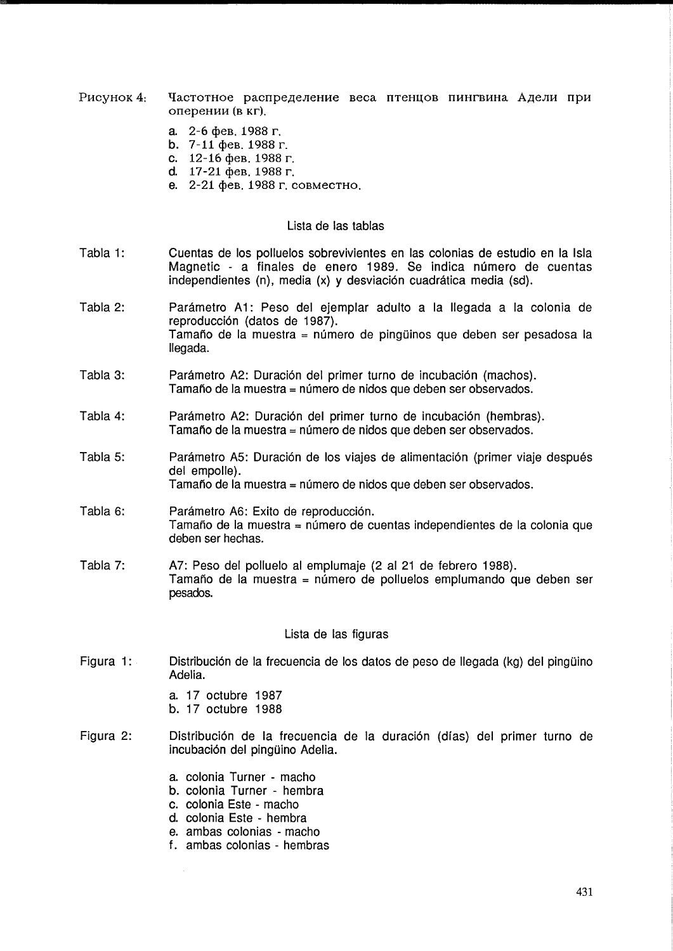- Pисунок 4: Частотное распределение веса птенцов пингвина Адели при оперении (в кг).
	- a.  $2-6$  deb. 1988 r.
	- b.  $7-11$  deb. 1988 r.
	- c.  $12-16$  фев. 1988 г.
	- d.  $17-21$  deb. 1988 r.
	- е. 2-21 фев. 1988 г. совместно.

## Lista de las tablas

- Tabla 1: Cuentas de los polluelos sobrevivientes en las colonias de estudio en la Isla Magnetic - a finales de enero 1989. Se indica número de cuentas independientes (n), media (x) y desviación cuadrática media (sd).
- Tabla 2: Parámetro A1: Peso del ejemplar adulto a la llegada a la colonia de reproducción (datos de 1987). Tamaño de la muestra = número de pingüinos que deben ser pesadosa la lIegada.
- Tabla 3: Parámetro A2: Duración del primer turno de incubación (machos). Tamaño de la muestra = número de nidos que deben ser observados.
- Tabla 4: Parámetro A2: Duración del primer turno de incubación (hembras). Tamaño de la muestra = número de nidos que deben ser observados.
- Tabla 5: Parámetro A5: Duración de los viajes de alimentación (primer viaje después del empolle). Tamaño de la muestra = número de nidos que deben ser observados.
- Tabla 6: Parámetro A6: Exito de reproducción. Tamaño de la muestra = número de cuentas independientes de la colonia que deben ser hechas.
- Tabla 7: A7: Peso del polluelo al emplumaje (2 al 21 de febrero 1988). Tamaño de la muestra = número de polluelos emplumando que deben ser pesados.

#### Lista de las figuras

- Figura 1: Distribución de la frecuencia de los datos de peso de llegada (kg) del pingüino Adelia.
	- a. 17 octubre 1987
	- b. 17 octubre 1988
- Figura 2: Distribución de la frecuencia de la duración (días) del primer turno de incubación del pingüino Adelia.
	- a. colonia Turner macho
	- b. colonia Turner hembra
	- c. colonia Este macho
	- d. colonia Este hembra
	- e. ambas colonias macho
	- f. ambas colonias hembras